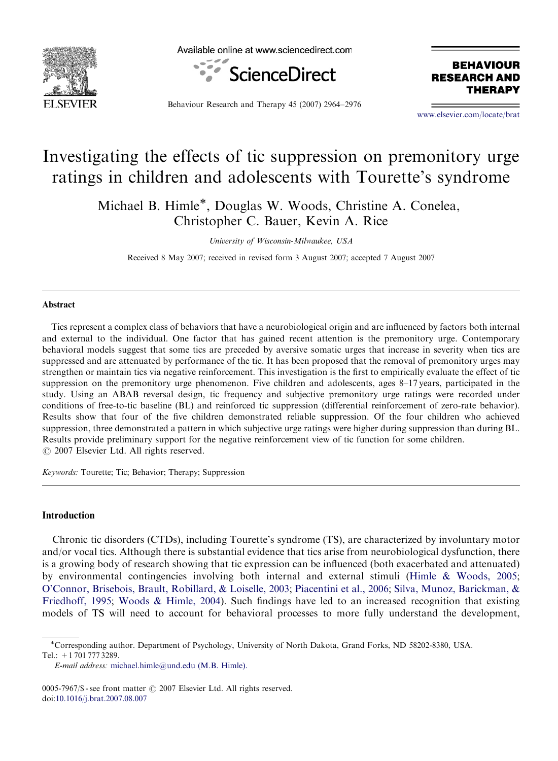

Available online at www.sciencedirect.com



**BEHAVIOUR RESEARCH AND** THERAPY

Behaviour Research and Therapy 45 (2007) 2964–2976

<www.elsevier.com/locate/brat>

## Investigating the effects of tic suppression on premonitory urge ratings in children and adolescents with Tourette's syndrome

Michael B. Himle\*, Douglas W. Woods, Christine A. Conelea, Christopher C. Bauer, Kevin A. Rice

University of Wisconsin-Milwaukee, USA

Received 8 May 2007; received in revised form 3 August 2007; accepted 7 August 2007

## Abstract

Tics represent a complex class of behaviors that have a neurobiological origin and are influenced by factors both internal and external to the individual. One factor that has gained recent attention is the premonitory urge. Contemporary behavioral models suggest that some tics are preceded by aversive somatic urges that increase in severity when tics are suppressed and are attenuated by performance of the tic. It has been proposed that the removal of premonitory urges may strengthen or maintain tics via negative reinforcement. This investigation is the first to empirically evaluate the effect of tic suppression on the premonitory urge phenomenon. Five children and adolescents, ages 8–17 years, participated in the study. Using an ABAB reversal design, tic frequency and subjective premonitory urge ratings were recorded under conditions of free-to-tic baseline (BL) and reinforced tic suppression (differential reinforcement of zero-rate behavior). Results show that four of the five children demonstrated reliable suppression. Of the four children who achieved suppression, three demonstrated a pattern in which subjective urge ratings were higher during suppression than during BL. Results provide preliminary support for the negative reinforcement view of tic function for some children.  $\odot$  2007 Elsevier Ltd. All rights reserved.

Keywords: Tourette; Tic; Behavior; Therapy; Suppression

## Introduction

Chronic tic disorders (CTDs), including Tourette's syndrome (TS), are characterized by involuntary motor and/or vocal tics. Although there is substantial evidence that tics arise from neurobiological dysfunction, there is a growing body of research showing that tic expression can be influenced (both exacerbated and attenuated) by environmental contingencies involving both internal and external stimuli ([Himle & Woods, 2005;](#page--1-0) [O'Connor, Brisebois, Brault, Robillard, & Loiselle, 2003;](#page--1-0) [Piacentini et al., 2006](#page--1-0); [Silva, Munoz, Barickman, &](#page--1-0) [Friedhoff, 1995;](#page--1-0) [Woods](#page--1-0) & [Himle, 2004](#page--1-0)). Such findings have led to an increased recognition that existing models of TS will need to account for behavioral processes to more fully understand the development,

<sup>-</sup>Corresponding author. Department of Psychology, University of North Dakota, Grand Forks, ND 58202-8380, USA. Tel.: +1 701 777 3289.

E-mail address: [michael.himle@und.edu \(M.B. Himle\).](mailto:michael.himle@und.edu)

<sup>0005-7967/\$ -</sup> see front matter  $\odot$  2007 Elsevier Ltd. All rights reserved. doi[:10.1016/j.brat.2007.08.007](dx.doi.org/10.1016/j.brat.2007.08.007)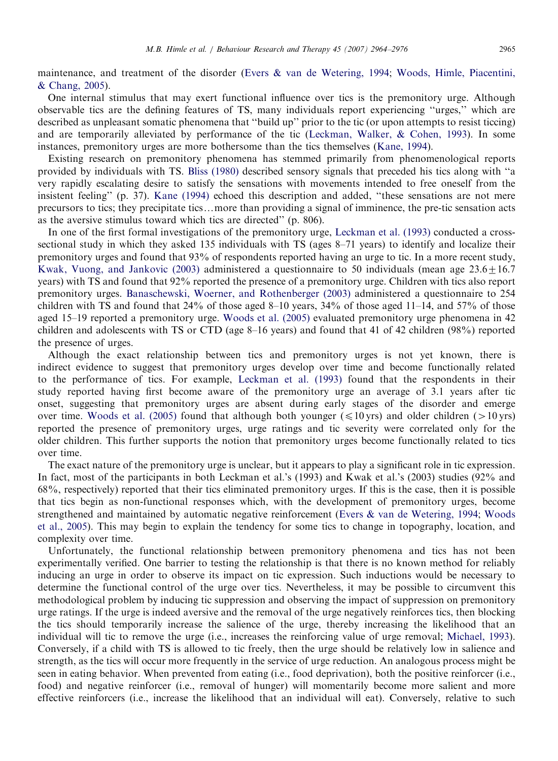maintenance, and treatment of the disorder ([Evers & van de Wetering, 1994;](#page--1-0) [Woods, Himle, Piacentini,](#page--1-0) & [Chang, 2005](#page--1-0)).

One internal stimulus that may exert functional influence over tics is the premonitory urge. Although observable tics are the defining features of TS, many individuals report experiencing ''urges,'' which are described as unpleasant somatic phenomena that ''build up'' prior to the tic (or upon attempts to resist ticcing) and are temporarily alleviated by performance of the tic [\(Leckman, Walker, & Cohen, 1993\)](#page--1-0). In some instances, premonitory urges are more bothersome than the tics themselves ([Kane, 1994](#page--1-0)).

Existing research on premonitory phenomena has stemmed primarily from phenomenological reports provided by individuals with TS. [Bliss \(1980\)](#page--1-0) described sensory signals that preceded his tics along with ''a very rapidly escalating desire to satisfy the sensations with movements intended to free oneself from the insistent feeling'' (p. 37). [Kane \(1994\)](#page--1-0) echoed this description and added, ''these sensations are not mere precursors to tics; they precipitate tics... more than providing a signal of imminence, the pre-tic sensation acts as the aversive stimulus toward which tics are directed'' (p. 806).

In one of the first formal investigations of the premonitory urge, [Leckman et al. \(1993\)](#page--1-0) conducted a crosssectional study in which they asked 135 individuals with TS (ages 8–71 years) to identify and localize their premonitory urges and found that 93% of respondents reported having an urge to tic. In a more recent study, [Kwak, Vuong, and Jankovic \(2003\)](#page--1-0) administered a questionnaire to 50 individuals (mean age  $23.6+16.7$ years) with TS and found that 92% reported the presence of a premonitory urge. Children with tics also report premonitory urges. [Banaschewski, Woerner, and Rothenberger \(2003\)](#page--1-0) administered a questionnaire to 254 children with TS and found that 24% of those aged 8–10 years, 34% of those aged 11–14, and 57% of those aged 15–19 reported a premonitory urge. [Woods et al. \(2005\)](#page--1-0) evaluated premonitory urge phenomena in 42 children and adolescents with TS or CTD (age 8–16 years) and found that 41 of 42 children (98%) reported the presence of urges.

Although the exact relationship between tics and premonitory urges is not yet known, there is indirect evidence to suggest that premonitory urges develop over time and become functionally related to the performance of tics. For example, [Leckman et al. \(1993\)](#page--1-0) found that the respondents in their study reported having first become aware of the premonitory urge an average of 3.1 years after tic onset, suggesting that premonitory urges are absent during early stages of the disorder and emerge over time. [Woods et al. \(2005\)](#page--1-0) found that although both younger ( $\leq 10$  yrs) and older children ( $>10$  yrs) reported the presence of premonitory urges, urge ratings and tic severity were correlated only for the older children. This further supports the notion that premonitory urges become functionally related to tics over time.

The exact nature of the premonitory urge is unclear, but it appears to play a significant role in tic expression. In fact, most of the participants in both Leckman et al.'s (1993) and Kwak et al.'s (2003) studies (92% and 68%, respectively) reported that their tics eliminated premonitory urges. If this is the case, then it is possible that tics begin as non-functional responses which, with the development of premonitory urges, become strengthened and maintained by automatic negative reinforcement ([Evers](#page--1-0) & [van de Wetering, 1994;](#page--1-0) [Woods](#page--1-0) [et al., 2005](#page--1-0)). This may begin to explain the tendency for some tics to change in topography, location, and complexity over time.

Unfortunately, the functional relationship between premonitory phenomena and tics has not been experimentally verified. One barrier to testing the relationship is that there is no known method for reliably inducing an urge in order to observe its impact on tic expression. Such inductions would be necessary to determine the functional control of the urge over tics. Nevertheless, it may be possible to circumvent this methodological problem by inducing tic suppression and observing the impact of suppression on premonitory urge ratings. If the urge is indeed aversive and the removal of the urge negatively reinforces tics, then blocking the tics should temporarily increase the salience of the urge, thereby increasing the likelihood that an individual will tic to remove the urge (i.e., increases the reinforcing value of urge removal; [Michael, 1993](#page--1-0)). Conversely, if a child with TS is allowed to tic freely, then the urge should be relatively low in salience and strength, as the tics will occur more frequently in the service of urge reduction. An analogous process might be seen in eating behavior. When prevented from eating (i.e., food deprivation), both the positive reinforcer (i.e., food) and negative reinforcer (i.e., removal of hunger) will momentarily become more salient and more effective reinforcers (i.e., increase the likelihood that an individual will eat). Conversely, relative to such